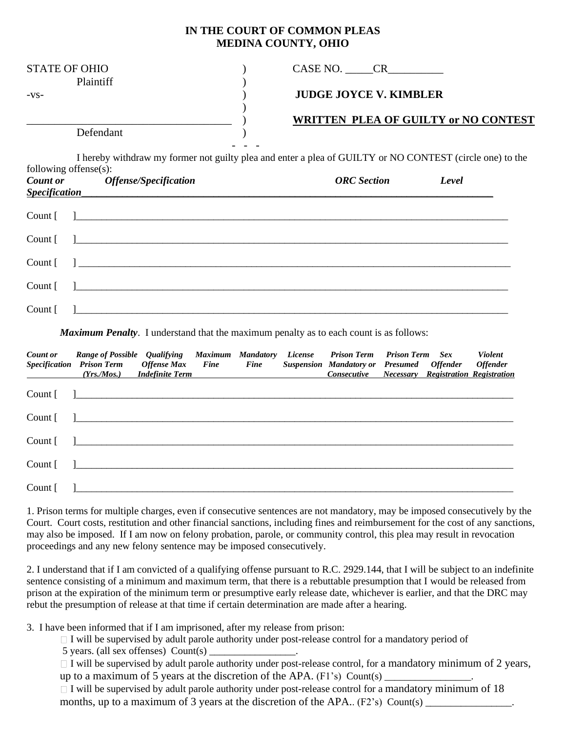## **IN THE COURT OF COMMON PLEAS MEDINA COUNTY, OHIO**

| <b>STATE OF OHIO</b><br>Plaintiff | CASE NO.<br>CR.                             |
|-----------------------------------|---------------------------------------------|
| $-VS-$                            | <b>JUDGE JOYCE V. KIMBLER</b>               |
|                                   | <b>WRITTEN PLEA OF GUILTY or NO CONTEST</b> |
| Defendant                         |                                             |

I hereby withdraw my former not guilty plea and enter a plea of GUILTY or NO CONTEST (circle one) to the following offense(s):

| Specification | Count or Offense/Specification              | <b>ORC</b> Section | Level |
|---------------|---------------------------------------------|--------------------|-------|
|               |                                             |                    |       |
|               | Count $\begin{bmatrix} 1 & 1 \end{bmatrix}$ |                    |       |
|               |                                             |                    |       |
|               |                                             |                    |       |
|               |                                             |                    |       |

*Maximum Penalty*. I understand that the maximum penalty as to each count is as follows:

| <b>Count or</b><br>$\overline{\phantom{a}}$ | Range of Possible Qualifying Maximum Mandatory License Prison Term Prison Term Sex<br>Specification Prison Term Offense Max Fine Fine Suspension Mandatory or Presumed Offender Offender | (Yrs./Mos.) Indefinite Term Consecutive Necessary Registration Registration |  |  |  | <b>Violent</b> |
|---------------------------------------------|------------------------------------------------------------------------------------------------------------------------------------------------------------------------------------------|-----------------------------------------------------------------------------|--|--|--|----------------|
|                                             | Count [                                                                                                                                                                                  |                                                                             |  |  |  |                |
|                                             | Count [                                                                                                                                                                                  |                                                                             |  |  |  |                |
|                                             | Count [                                                                                                                                                                                  |                                                                             |  |  |  |                |
|                                             | Count [                                                                                                                                                                                  |                                                                             |  |  |  |                |
|                                             | Count [                                                                                                                                                                                  |                                                                             |  |  |  |                |

1. Prison terms for multiple charges, even if consecutive sentences are not mandatory, may be imposed consecutively by the Court. Court costs, restitution and other financial sanctions, including fines and reimbursement for the cost of any sanctions, may also be imposed. If I am now on felony probation, parole, or community control, this plea may result in revocation proceedings and any new felony sentence may be imposed consecutively.

2. I understand that if I am convicted of a qualifying offense pursuant to R.C. 2929.144, that I will be subject to an indefinite sentence consisting of a minimum and maximum term, that there is a rebuttable presumption that I would be released from prison at the expiration of the minimum term or presumptive early release date, whichever is earlier, and that the DRC may rebut the presumption of release at that time if certain determination are made after a hearing.

3. I have been informed that if I am imprisoned, after my release from prison:

 $\Box$  I will be supervised by adult parole authority under post-release control for a mandatory period of

 $5$  years. (all sex offenses) Count(s)

 $\Box$  I will be supervised by adult parole authority under post-release control, for a mandatory minimum of 2 years, up to a maximum of 5 years at the discretion of the APA.  $(F1's)$  Count(s)

 $\Box$  I will be supervised by adult parole authority under post-release control for a mandatory minimum of 18 months, up to a maximum of 3 years at the discretion of the APA.. (F2's) Count(s)